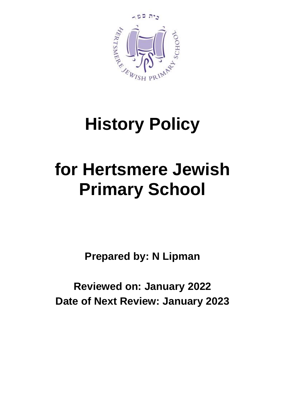

# **History Policy**

# **for Hertsmere Jewish Primary School**

**Prepared by: N Lipman**

**Reviewed on: January 2022 Date of Next Review: January 2023**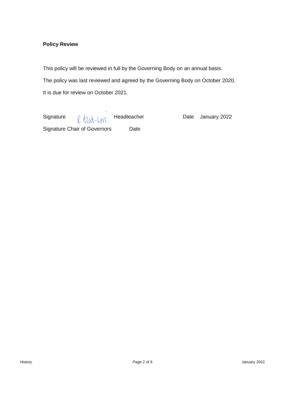# **Policy Review**

This policy will be reviewed in full by the Governing Body on an annual basis. The policy was last reviewed and agreed by the Governing Body on October 2020. It is due for review on October 2021.

Signature  $\ell$ ,  $k$ <sub>la</sub>k- $k$ <sup>V</sup>l Headteacher Date January 2022

Signature Chair of Governors Date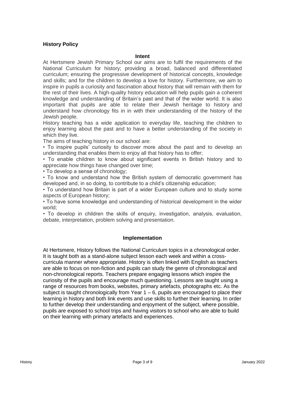# **History Policy**

#### **Intent**

At Hertsmere Jewish Primary School our aims are to fulfil the requirements of the National Curriculum for history; providing a broad, balanced and differentiated curriculum; ensuring the progressive development of historical concepts, knowledge and skills; and for the children to develop a love for history. Furthermore, we aim to inspire in pupils a curiosity and fascination about history that will remain with them for the rest of their lives. A high-quality history education will help pupils gain a coherent knowledge and understanding of Britain's past and that of the wider world. It is also important that pupils are able to relate their Jewish heritage to history and understand how chronology fits in in with their understanding of the history of the Jewish people.

History teaching has a wide application to everyday life, teaching the children to enjoy learning about the past and to have a better understanding of the society in which they live.

The aims of teaching history in our school are:

• To inspire pupils' curiosity to discover more about the past and to develop an understanding that enables them to enjoy all that history has to offer;

• To enable children to know about significant events in British history and to appreciate how things have changed over time;

• To develop a sense of chronology;

• To know and understand how the British system of democratic government has developed and, in so doing, to contribute to a child's citizenship education;

• To understand how Britain is part of a wider European culture and to study some aspects of European history;

• To have some knowledge and understanding of historical development in the wider world;

• To develop in children the skills of enquiry, investigation, analysis, evaluation, debate, interpretation, problem solving and presentation.

#### **Implementation**

At Hertsmere, History follows the National Curriculum topics in a chronological order. It is taught both as a stand-alone subject lesson each week and within a crosscurricula manner where appropriate. History is often linked with English as teachers are able to focus on non-fiction and pupils can study the genre of chronological and non-chronological reports. Teachers prepare engaging lessons which inspire the curiosity of the pupils and encourage much questioning. Lessons are taught using a range of resources from books, websites, primary artefacts, photographs etc. As the subject is taught chronologically from Year  $1 - 6$ , pupils are encouraged to place their learning in history and both link events and use skills to further their learning. In order to further develop their understanding and enjoyment of the subject, where possible, pupils are exposed to school trips and having visitors to school who are able to build on their learning with primary artefacts and experiences.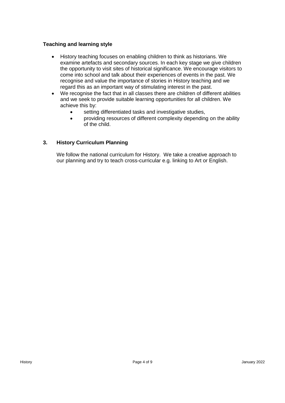# **Teaching and learning style**

- History teaching focuses on enabling children to think as historians. We examine artefacts and secondary sources. In each key stage we give children the opportunity to visit sites of historical significance. We encourage visitors to come into school and talk about their experiences of events in the past. We recognise and value the importance of stories in History teaching and we regard this as an important way of stimulating interest in the past.
- We recognise the fact that in all classes there are children of different abilities and we seek to provide suitable learning opportunities for all children. We achieve this by:
	- setting differentiated tasks and investigative studies,
	- providing resources of different complexity depending on the ability of the child.

## **3. History Curriculum Planning**

We follow the national curriculum for History. We take a creative approach to our planning and try to teach cross-curricular e.g. linking to Art or English.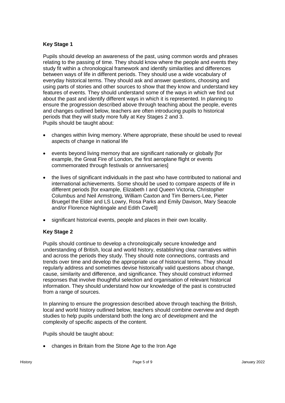## **Key Stage 1**

Pupils should develop an awareness of the past, using common words and phrases relating to the passing of time. They should know where the people and events they study fit within a chronological framework and identify similarities and differences between ways of life in different periods. They should use a wide vocabulary of everyday historical terms. They should ask and answer questions, choosing and using parts of stories and other sources to show that they know and understand key features of events. They should understand some of the ways in which we find out about the past and identify different ways in which it is represented. In planning to ensure the progression described above through teaching about the people, events and changes outlined below, teachers are often introducing pupils to historical periods that they will study more fully at Key Stages 2 and 3. Pupils should be taught about:

- changes within living memory. Where appropriate, these should be used to reveal aspects of change in national life
- events beyond living memory that are significant nationally or globally [for example, the Great Fire of London, the first aeroplane flight or events commemorated through festivals or anniversaries]
- the lives of significant individuals in the past who have contributed to national and international achievements. Some should be used to compare aspects of life in different periods [for example, Elizabeth I and Queen Victoria, Christopher Columbus and Neil Armstrong, William Caxton and Tim Berners-Lee, Pieter Bruegel the Elder and LS Lowry, Rosa Parks and Emily Davison, Mary Seacole and/or Florence Nightingale and Edith Cavell]
- significant historical events, people and places in their own locality.

## **Key Stage 2**

Pupils should continue to develop a chronologically secure knowledge and understanding of British, local and world history, establishing clear narratives within and across the periods they study. They should note connections, contrasts and trends over time and develop the appropriate use of historical terms. They should regularly address and sometimes devise historically valid questions about change, cause, similarity and difference, and significance. They should construct informed responses that involve thoughtful selection and organisation of relevant historical information. They should understand how our knowledge of the past is constructed from a range of sources.

In planning to ensure the progression described above through teaching the British, local and world history outlined below, teachers should combine overview and depth studies to help pupils understand both the long arc of development and the complexity of specific aspects of the content.

Pupils should be taught about:

• changes in Britain from the Stone Age to the Iron Age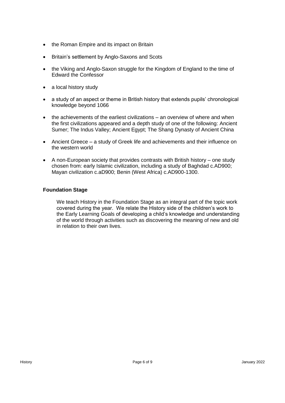- the Roman Empire and its impact on Britain
- Britain's settlement by Anglo-Saxons and Scots
- the Viking and Anglo-Saxon struggle for the Kingdom of England to the time of Edward the Confessor
- a local history study
- a study of an aspect or theme in British history that extends pupils' chronological knowledge beyond 1066
- the achievements of the earliest civilizations an overview of where and when the first civilizations appeared and a depth study of one of the following: Ancient Sumer; The Indus Valley; Ancient Egypt; The Shang Dynasty of Ancient China
- Ancient Greece a study of Greek life and achievements and their influence on the western world
- A non-European society that provides contrasts with British history one study chosen from: early Islamic civilization, including a study of Baghdad c.AD900; Mayan civilization c.aD900; Benin (West Africa) c.AD900-1300.

## **Foundation Stage**

We teach History in the Foundation Stage as an integral part of the topic work covered during the year. We relate the History side of the children's work to the Early Learning Goals of developing a child's knowledge and understanding of the world through activities such as discovering the meaning of new and old in relation to their own lives.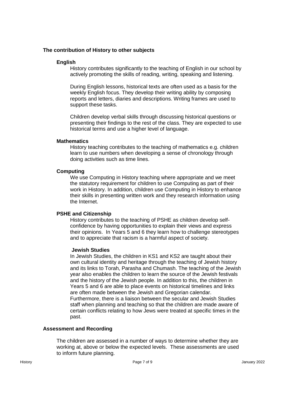## **The contribution of History to other subjects**

#### **English**

History contributes significantly to the teaching of English in our school by actively promoting the skills of reading, writing, speaking and listening.

During English lessons, historical texts are often used as a basis for the weekly English focus. They develop their writing ability by composing reports and letters, diaries and descriptions. Writing frames are used to support these tasks.

Children develop verbal skills through discussing historical questions or presenting their findings to the rest of the class. They are expected to use historical terms and use a higher level of language.

## **Mathematics**

History teaching contributes to the teaching of mathematics e.g. children learn to use numbers when developing a sense of chronology through doing activities such as time lines.

## **Computing**

We use Computing in History teaching where appropriate and we meet the statutory requirement for children to use Computing as part of their work in History. In addition, children use Computing in History to enhance their skills in presenting written work and they research information using the Internet.

#### **PSHE and Citizenship**

History contributes to the teaching of PSHE as children develop selfconfidence by having opportunities to explain their views and express their opinions. In Years 5 and 6 they learn how to challenge stereotypes and to appreciate that racism is a harmful aspect of society.

#### **Jewish Studies**

In Jewish Studies, the children in KS1 and KS2 are taught about their own cultural identity and heritage through the teaching of Jewish history and its links to Torah, Parasha and Chumash. The teaching of the Jewish year also enables the children to learn the source of the Jewish festivals and the history of the Jewish people. In addition to this, the children in Years 5 and 6 are able to place events on historical timelines and links are often made between the Jewish and Gregorian calendar. Furthermore, there is a liaison between the secular and Jewish Studies staff when planning and teaching so that the children are made aware of certain conflicts relating to how Jews were treated at specific times in the past.

#### **Assessment and Recording**

The children are assessed in a number of ways to determine whether they are working at, above or below the expected levels. These assessments are used to inform future planning.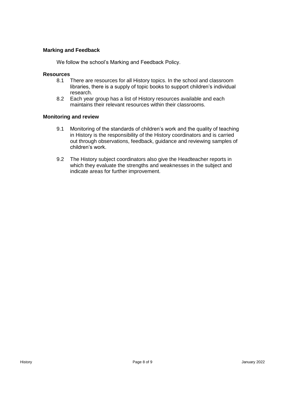## **Marking and Feedback**

We follow the school's Marking and Feedback Policy.

## **Resources**

- 8.1 There are resources for all History topics. In the school and classroom libraries, there is a supply of topic books to support children's individual research.
- 8.2 Each year group has a list of History resources available and each maintains their relevant resources within their classrooms.

## **Monitoring and review**

- 9.1 Monitoring of the standards of children's work and the quality of teaching in History is the responsibility of the History coordinators and is carried out through observations, feedback, guidance and reviewing samples of children's work.
- 9.2 The History subject coordinators also give the Headteacher reports in which they evaluate the strengths and weaknesses in the subject and indicate areas for further improvement.